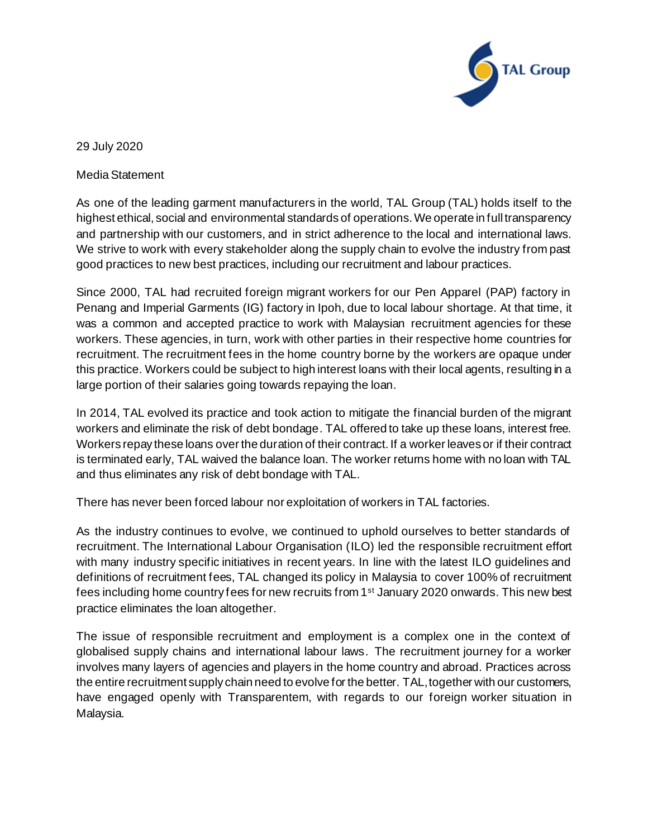

29 July 2020

Media Statement

As one of the leading garment manufacturers in the world, TAL Group (TAL) holds itself to the highest ethical, social and environmental standards of operations. We operate in full transparency and partnership with our customers, and in strict adherence to the local and international laws. We strive to work with every stakeholder along the supply chain to evolve the industry from past good practices to new best practices, including our recruitment and labour practices.

Since 2000, TAL had recruited foreign migrant workers for our Pen Apparel (PAP) factory in Penang and Imperial Garments (IG) factory in Ipoh, due to local labour shortage. At that time, it was a common and accepted practice to work with Malaysian recruitment agencies for these workers. These agencies, in turn, work with other parties in their respective home countries for recruitment. The recruitment fees in the home country borne by the workers are opaque under this practice. Workers could be subject to high interest loans with their local agents, resulting in a large portion of their salaries going towards repaying the loan.

In 2014, TAL evolved its practice and took action to mitigate the financial burden of the migrant workers and eliminate the risk of debt bondage. TAL offered to take up these loans, interest free. Workers repay these loans over the duration of their contract. If a worker leaves or if their contract is terminated early, TAL waived the balance loan. The worker returns home with no loan with TAL and thus eliminates any risk of debt bondage with TAL.

There has never been forced labour nor exploitation of workers in TAL factories.

As the industry continues to evolve, we continued to uphold ourselves to better standards of recruitment. The International Labour Organisation (ILO) led the responsible recruitment effort with many industry specific initiatives in recent years. In line with the latest ILO guidelines and definitions of recruitment fees, TAL changed its policy in Malaysia to cover 100% of recruitment fees including home country fees for new recruits from 1<sup>st</sup> January 2020 onwards. This new best practice eliminates the loan altogether.

The issue of responsible recruitment and employment is a complex one in the context of globalised supply chains and international labour laws. The recruitment journey for a worker involves many layers of agencies and players in the home country and abroad. Practices across the entire recruitment supply chain need to evolve for the better. TAL, together with our customers, have engaged openly with Transparentem, with regards to our foreign worker situation in Malaysia.